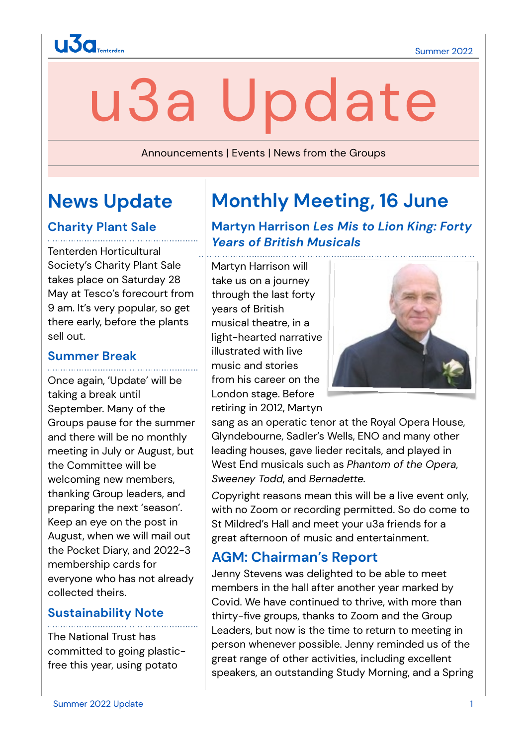

# u3a Update

Announcements | Events | News from the Groups

# **News Update**

### **Charity Plant Sale**

Tenterden Horticultural Society's Charity Plant Sale takes place on Saturday 28 May at Tesco's forecourt from 9 am. It's very popular, so get there early, before the plants sell out.

#### **Summer Break**

Once again, 'Update' will be taking a break until September. Many of the Groups pause for the summer and there will be no monthly meeting in July or August, but the Committee will be welcoming new members, thanking Group leaders, and preparing the next 'season'. Keep an eye on the post in August, when we will mail out the Pocket Diary, and 2022-3 membership cards for everyone who has not already collected theirs.

#### **Sustainability Note**

The National Trust has committed to going plasticfree this year, using potato

# **Monthly Meeting, 16 June**

## **Martyn Harrison** *Les Mis to Lion King: Forty Years of British Musicals*

Martyn Harrison will take us on a journey through the last forty years of British musical theatre, in a light-hearted narrative illustrated with live music and stories from his career on the London stage. Before retiring in 2012, Martyn



sang as an operatic tenor at the Royal Opera House, Glyndebourne, Sadler's Wells, ENO and many other leading houses, gave lieder recitals, and played in West End musicals such as *Phantom of the Opera*, *Sweeney Todd*, and *Bernadette.* 

*C*opyright reasons mean this will be a live event only, with no Zoom or recording permitted. So do come to St Mildred's Hall and meet your u3a friends for a great afternoon of music and entertainment.

## **AGM: Chairman's Report**

Jenny Stevens was delighted to be able to meet members in the hall after another year marked by Covid. We have continued to thrive, with more than thirty-five groups, thanks to Zoom and the Group Leaders, but now is the time to return to meeting in person whenever possible. Jenny reminded us of the great range of other activities, including excellent speakers, an outstanding Study Morning, and a Spring